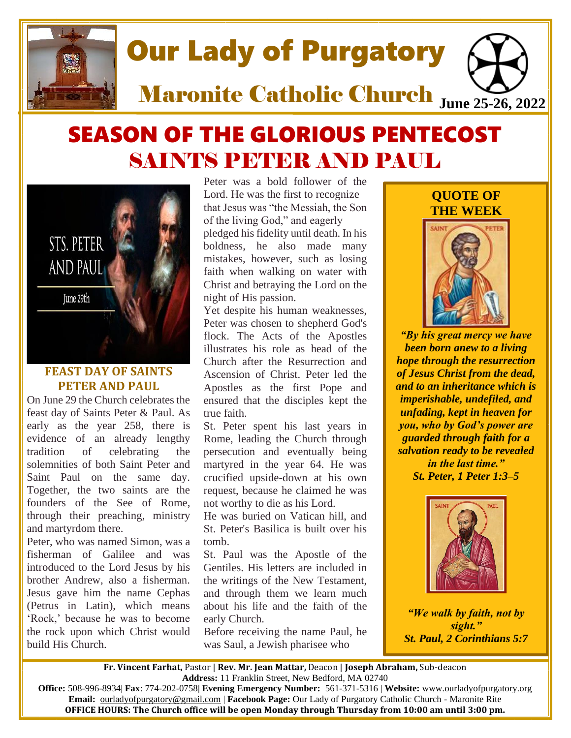

# SEASON OF THE GLORIOUS PENTECOST SAINTS PETER AND PAUL



# **FEAST DAY OF SAINTS PETER AND PAUL**

On June 29 the Church celebrates the feast day of Saints Peter & Paul. As early as the year 258, there is evidence of an already lengthy tradition of celebrating the solemnities of both Saint Peter and Saint Paul on the same day. Together, the two saints are the founders of the See of Rome, through their preaching, ministry and martyrdom there.

Peter, who was named Simon, was a fisherman of Galilee and was introduced to the Lord Jesus by his brother Andrew, also a fisherman. Jesus gave him the name Cephas (Petrus in Latin), which means 'Rock,' because he was to become the rock upon which Christ would build His Church.

Peter was a bold follower of the Lord. He was the first to recognize that Jesus was "the Messiah, the Son of the living God," and eagerly pledged his fidelity until death. In his boldness, he also made many mistakes, however, such as losing faith when walking on water with Christ and betraying the Lord on the night of His passion.

Yet despite his human weaknesses, Peter was chosen to shepherd God's flock. The Acts of the Apostles illustrates his role as head of the Church after the Resurrection and Ascension of Christ. Peter led the Apostles as the first Pope and ensured that the disciples kept the true faith.

St. Peter spent his last years in Rome, leading the Church through persecution and eventually being martyred in the year 64. He was crucified upside-down at his own request, because he claimed he was not worthy to die as his Lord.

He was buried on Vatican hill, and St. Peter's Basilica is built over his tomb.

St. Paul was the Apostle of the Gentiles. His letters are included in the writings of the New Testament, and through them we learn much about his life and the faith of the early Church.

Before receiving the name Paul, he was Saul, a Jewish pharisee who

# **QUOTE OF THE WEEK**



*"By his great mercy we have been born anew to a living hope through the resurrection of Jesus Christ from the dead, and to an inheritance which is imperishable, undefiled, and unfading, kept in heaven for you, who by God's power are guarded through faith for a salvation ready to be revealed in the last time." St. Peter, [1 Peter 1:3–5](https://www.biblegateway.com/passage/?search=1+Peter+1&version=RSVCE)*



*"We walk by faith, not by sight." St. Paul, [2 Corinthians 5:7](https://www.biblegateway.com/passage/?search=2+Corinthians+5&version=RSVCE)*

**Fr. Vincent Farhat,** Pastor | **Rev. Mr. Jean Mattar,** Deacon | **Joseph Abraham,** Sub-deacon **Address:** 11 Franklin Street, New Bedford, MA 02740

**Office:** 508-996-8934| **Fax**: 774-202-0758| **Evening Emergency Number:** 561-371-5316 | **Website:** [www.ourladyofpurgatory.org](http://www.ourladyofpurgatory.org/) **Email:** [ourladyofpurgatory@gmail.com](mailto:ourladyofpurgatory@verizon.net) | **Facebook Page:** Our Lady of Purgatory Catholic Church - Maronite Rite **OFFICE HOURS: The Church office will be open Monday through Thursday from 10:00 am until 3:00 pm.**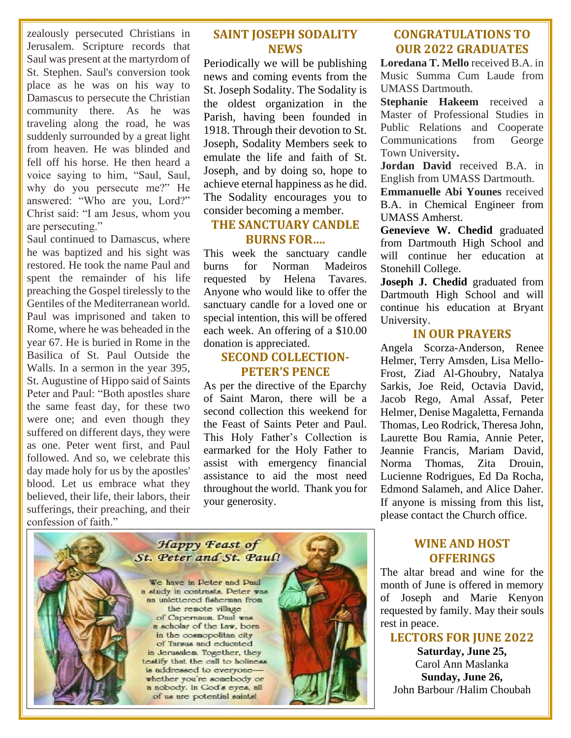zealously persecuted Christians in Jerusalem. Scripture records that Saul was present at the martyrdom of St. Stephen. Saul's conversion took place as he was on his way to Damascus to persecute the Christian community there. As he was traveling along the road, he was suddenly surrounded by a great light from heaven. He was blinded and fell off his horse. He then heard a voice saying to him, "Saul, Saul, why do you persecute me?" He answered: "Who are you, Lord?" Christ said: "I am Jesus, whom you are persecuting."

Saul continued to Damascus, where he was baptized and his sight was restored. He took the name Paul and spent the remainder of his life preaching the Gospel tirelessly to the Gentiles of the Mediterranean world. Paul was imprisoned and taken to Rome, where he was beheaded in the year 67. He is buried in Rome in the Basilica of St. Paul Outside the Walls. In a sermon in the year 395, St. Augustine of Hippo said of Saints Peter and Paul: "Both apostles share the same feast day, for these two were one; and even though they suffered on different days, they were as one. Peter went first, and Paul followed. And so, we celebrate this day made holy for us by the apostles' blood. Let us embrace what they believed, their life, their labors, their sufferings, their preaching, and their confession of faith."

### **SAINT JOSEPH SODALITY NEWS**

Periodically we will be publishing news and coming events from the St. Joseph Sodality. The Sodality is the oldest organization in the Parish, having been founded in 1918. Through their devotion to St. Joseph, Sodality Members seek to emulate the life and faith of St. Joseph, and by doing so, hope to achieve eternal happiness as he did. The Sodality encourages you to consider becoming a member.

## **THE SANCTUARY CANDLE BURNS FOR….**

This week the sanctuary candle burns for Norman Madeiros requested by Helena Tavares. Anyone who would like to offer the sanctuary candle for a loved one or special intention, this will be offered each week. An offering of a \$10.00 donation is appreciated.

# **SECOND COLLECTION-PETER'S PENCE**

As per the directive of the Eparchy of Saint Maron, there will be a second collection this weekend for the Feast of Saints Peter and Paul. This Holy Father's Collection is earmarked for the Holy Father to assist with emergency financial assistance to aid the most need throughout the world. Thank you for your generosity.



# **CONGRATULATIONS TO OUR 2022 GRADUATES**

**Loredana T. Mello** received B.A. in Music Summa Cum Laude from UMASS Dartmouth.

**Stephanie Hakeem** received a Master of Professional Studies in Public Relations and Cooperate Communications from George Town University**.** 

**Jordan David** received B.A. in English from UMASS Dartmouth.

**Emmanuelle Abi Younes** received B.A. in Chemical Engineer from UMASS Amherst.

**Genevieve W. Chedid** graduated from Dartmouth High School and will continue her education at Stonehill College.

**Joseph J. Chedid** graduated from Dartmouth High School and will continue his education at Bryant University.

## **IN OUR PRAYERS**

Angela Scorza-Anderson, Renee Helmer, Terry Amsden, Lisa Mello-Frost, Ziad Al-Ghoubry, Natalya Sarkis, Joe Reid, Octavia David, Jacob Rego, Amal Assaf, Peter Helmer, Denise Magaletta, Fernanda Thomas, Leo Rodrick, Theresa John, Laurette Bou Ramia, Annie Peter, Jeannie Francis, Mariam David, Norma Thomas, Zita Drouin, Lucienne Rodrigues, Ed Da Rocha, Edmond Salameh, and Alice Daher. If anyone is missing from this list, please contact the Church office.

# **WINE AND HOST OFFERINGS**

The altar bread and wine for the month of June is offered in memory of Joseph and Marie Kenyon requested by family. May their souls rest in peace.

# **LECTORS FOR JUNE 2022**

**Saturday, June 25,**  Carol Ann Maslanka **Sunday, June 26,**  John Barbour /Halim Choubah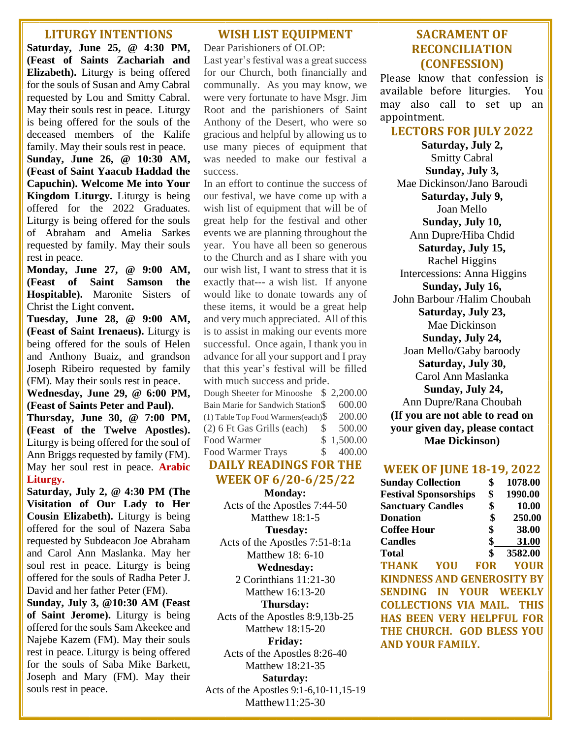#### **LITURGY INTENTIONS**

**Saturday, June 25, @ 4:30 PM, (Feast of Saints Zachariah and Elizabeth).** Liturgy is being offered for the souls of Susan and Amy Cabral requested by Lou and Smitty Cabral. May their souls rest in peace. Liturgy is being offered for the souls of the deceased members of the Kalife family. May their souls rest in peace. **Sunday, June 26, @ 10:30 AM, (Feast of Saint Yaacub Haddad the Capuchin). Welcome Me into Your Kingdom Liturgy.** Liturgy is being offered for the 2022 Graduates. Liturgy is being offered for the souls of Abraham and Amelia Sarkes requested by family. May their souls rest in peace.

**Monday, June 27, @ 9:00 AM, (Feast of Saint Samson the Hospitable).** Maronite Sisters of Christ the Light convent**.**

**Tuesday, June 28, @ 9:00 AM, (Feast of Saint Irenaeus).** Liturgy is being offered for the souls of Helen and Anthony Buaiz, and grandson Joseph Ribeiro requested by family (FM). May their souls rest in peace.

**Wednesday, June 29, @ 6:00 PM, (Feast of Saints Peter and Paul).**

**Thursday, June 30, @ 7:00 PM, (Feast of the Twelve Apostles).** Liturgy is being offered for the soul of Ann Briggs requested by family (FM). May her soul rest in peace. **Arabic Liturgy.**

**Saturday, July 2, @ 4:30 PM (The Visitation of Our Lady to Her Cousin Elizabeth).** Liturgy is being offered for the soul of Nazera Saba requested by Subdeacon Joe Abraham and Carol Ann Maslanka. May her soul rest in peace. Liturgy is being offered for the souls of Radha Peter J. David and her father Peter (FM).

**Sunday, July 3, @10:30 AM (Feast of Saint Jerome).** Liturgy is being offered for the souls Sam Akeekee and Najebe Kazem (FM). May their souls rest in peace. Liturgy is being offered for the souls of Saba Mike Barkett, Joseph and Mary (FM). May their souls rest in peace.

#### **WISH LIST EQUIPMENT**

Dear Parishioners of OLOP: Last year's festival was a great success for our Church, both financially and communally. As you may know, we were very fortunate to have Msgr. Jim Root and the parishioners of Saint Anthony of the Desert, who were so gracious and helpful by allowing us to use many pieces of equipment that was needed to make our festival a success.

In an effort to continue the success of our festival, we have come up with a wish list of equipment that will be of great help for the festival and other events we are planning throughout the year. You have all been so generous to the Church and as I share with you our wish list, I want to stress that it is exactly that--- a wish list. If anyone would like to donate towards any of these items, it would be a great help and very much appreciated. All of this is to assist in making our events more successful. Once again, I thank you in advance for all your support and I pray that this year's festival will be filled with much success and pride. Dough Sheeter for Minooshe \$ 2,200.00

| Dough Sheeter for Minooshe $\rightarrow$ 2,200.00 |               |            |
|---------------------------------------------------|---------------|------------|
| Bain Marie for Sandwich Station\$                 |               | 600.00     |
| (1) Table Top Food Warmers(each) $\$              |               | 200.00     |
| (2) 6 Ft Gas Grills (each)                        | <sup>\$</sup> | 500.00     |
| Food Warmer                                       |               | \$1,500.00 |
| <b>Food Warmer Trays</b>                          | $\mathcal{S}$ | 400.00     |
|                                                   |               |            |

# **DAILY READINGS FOR THE WEEK OF 6/20-6/25/22**

**Monday:**  Acts of the Apostles 7:44-50 Matthew 18:1-5

**Tuesday:** 

Acts of the Apostles 7:51-8:1a Matthew 18: 6-10

**Wednesday:** 

2 Corinthians 11:21-30 Matthew 16:13-20

**Thursday:** 

Acts of the Apostles 8:9,13b-25 Matthew 18:15-20

**Friday:** 

Acts of the Apostles 8:26-40 Matthew 18:21-35

**Saturday:** 

Acts of the Apostles 9:1-6,10-11,15-19 Matthew11:25-30

## **SACRAMENT OF RECONCILIATION (CONFESSION)**

Please know that confession is available before liturgies. You may also call to set up an appointment.

#### **LECTORS FOR JULY 2022**

**Saturday, July 2,**  Smitty Cabral **Sunday, July 3,**  Mae Dickinson/Jano Baroudi **Saturday, July 9,**  Joan Mello **Sunday, July 10,**  Ann Dupre/Hiba Chdid **Saturday, July 15,**  Rachel Higgins Intercessions: Anna Higgins **Sunday, July 16,**  John Barbour /Halim Choubah **Saturday, July 23,**  Mae Dickinson **Sunday, July 24,**  Joan Mello/Gaby baroody **Saturday, July 30,** Carol Ann Maslanka **Sunday, July 24,** Ann Dupre/Rana Choubah **(If you are not able to read on your given day, please contact Mae Dickinson)**

#### **WEEK OF JUNE 18-19, 2022**

| <b>Sunday Collection</b>          |  |    | \$      | 1078.00   |
|-----------------------------------|--|----|---------|-----------|
| <b>Festival Sponsorships</b>      |  | \$ | 1990.00 |           |
| <b>Sanctuary Candles</b>          |  |    | \$      | 10.00     |
| <b>Donation</b>                   |  |    | $\$\$   | 250.00    |
| <b>Coffee Hour</b>                |  |    | $\sim$  | 38.00     |
| <b>Candles</b>                    |  |    |         | \$ 31.00  |
| Total                             |  |    |         | \$3582.00 |
| <b>THANK YOU FOR YOUR</b>         |  |    |         |           |
| <b>KINDNESS AND GENEROSITY BY</b> |  |    |         |           |
| SENDING IN YOUR WEEKLY            |  |    |         |           |
| <b>COLLECTIONS VIA MAIL. THIS</b> |  |    |         |           |
| <b>HAS BEEN VERY HELPFUL FOR</b>  |  |    |         |           |
| THE CHURCH. GOD BLESS YOU         |  |    |         |           |
| AND YOUR FAMILY.                  |  |    |         |           |